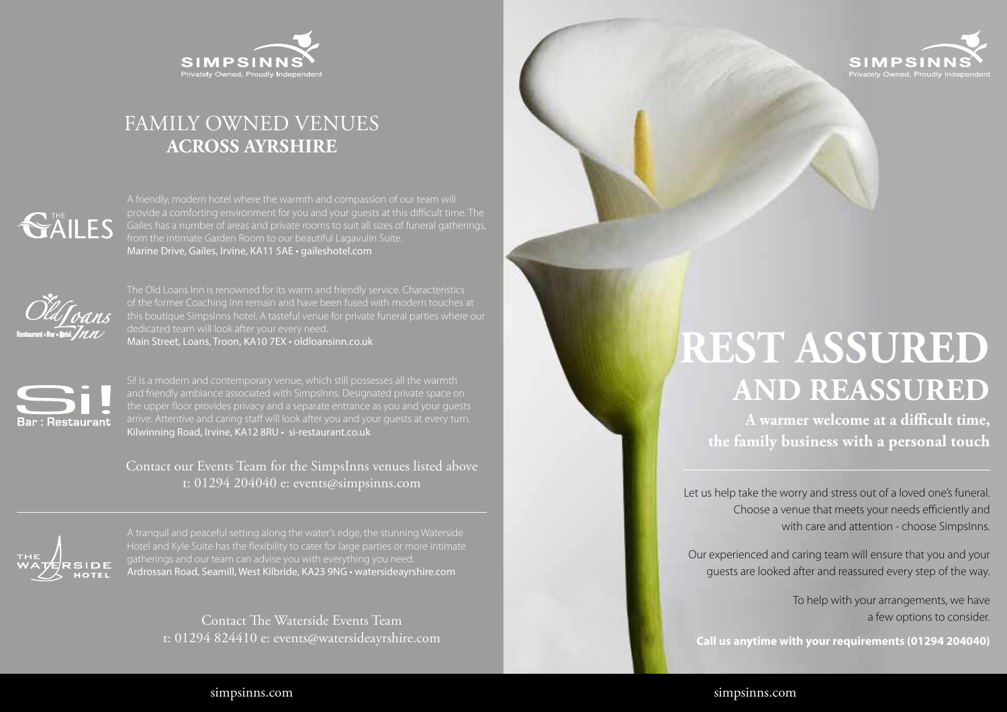

## FAMILY OWNED VENUES **ACROSS AYRSHIRE**

Marine Drive, Gailes, Irvine, KA11 5AE • gaileshotel.com



The Old Loans Inn is renowned for its warm and friendly service. Characteristics this boutique SimpsInns hotel. A tasteful venue for private funeral parties where our Main Street, Loans, Troon, KA10 7EX • oldloansinn.co.uk



arrive. Attentive and caring staff will look after you and your guests at every turn. Kilwinning Road, Irvine, KA12 8RU • si-restaurant.co.uk

Contact our Events Team for the SimpsInns venues listed above t: 01294 204040 e: events@simpsinns.com



A tranquil and peaceful setting along the water's edge, the stunning Waterside gatherings and our team can advise you with everything you need. Ardrossan Road, Seamill, West Kilbride, KA23 9NG • watersideayrshire.com

> Contact The Waterside Events Team t: 01294 824410 e: events@watersideayrshire.com



# **REST ASSURED AND REASSURED**

**A warmer welcome at a difficult time, the family business with a personal touch**

Let us help take the worry and stress out of a loved one's funeral. Choose a venue that meets your needs efficiently and with care and attention - choose SimpsInns.

Our experienced and caring team will ensure that you and your guests are looked after and reassured every step of the way.

> To help with your arrangements, we have a few options to consider.

**Call us anytime with your requirements (01294 204040)**